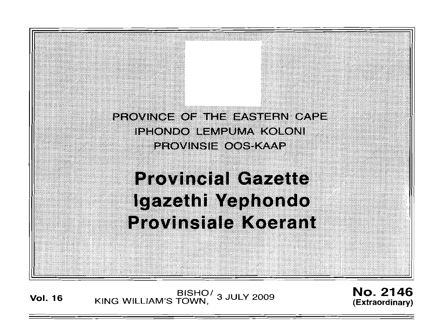

**Vol. <sup>16</sup>** BISHO/ KING WILLIAM'S TOWN , 3 JULY 2009

No. 2146 **(Extraordinary)**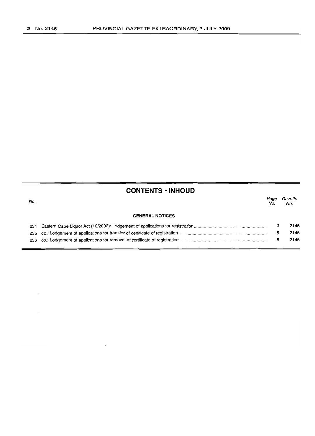$\cdot$ 

 $\bar{z}$ 

# **CONTENTS · INHOUD**

| No. |                        | Page<br>No. | Gazette<br>No. |
|-----|------------------------|-------------|----------------|
|     | <b>GENERAL NOTICES</b> |             |                |
|     |                        |             | 2146           |
|     |                        |             | 2146           |
|     |                        | 6           | 2146           |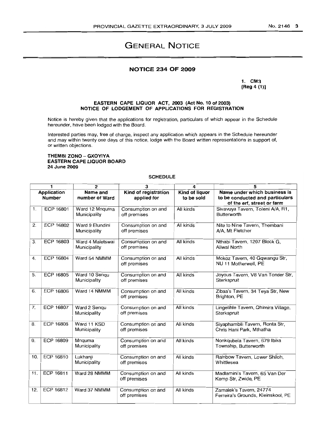#### NO.2146 3

# GENERAL NOTICE

## NOTICE 234 OF 2009

1. CM3 [Reg 4 (1)]

#### EASTERN CAPE LIQUOR ACT, 2003 (Act No. 10 of 2003) NOTICE OF LODGEMENT OF APPLICATIONS FOR REGISTRATION

Notice is hereby given that the applications for registration, particulars of which appear in the Schedule hereunder, have been lodged with the Board.

Interested parties may, free of charge, inspect any application which appears in the Schedule hereunder and may within twenty one days of this notice, lodge with the Board written representations in support of, or written objections.

#### THEMBI ZONO - GXOYIYA EASTERN CAPE LIQUOR BOARD 24 June 2009

#### **SCHEDULE**

| 1                            |                  | $\overline{2}$                   | 3                                   | 4                            | 5                                                                                             |  |  |  |
|------------------------------|------------------|----------------------------------|-------------------------------------|------------------------------|-----------------------------------------------------------------------------------------------|--|--|--|
| Application<br><b>Number</b> |                  | Name and<br>number of Ward       | Kind of registration<br>applied for | Kind of liquor<br>to be sold | Name under which business is<br>to be conducted and particulars<br>of the erf, street or farm |  |  |  |
| 1.                           | ECP 16801        | Ward 12 Mnquma<br>Municipality   | Consumption on and<br>off premises  | All kinds                    | Sivavuya Tavern, Toleni A/A, R1,<br>Butterworth                                               |  |  |  |
| 2.                           | <b>ECP 16802</b> | Ward 9 Elundini<br>Municipality  | Consumption on and<br>off premises  | All kinds                    | Nite to Nine Tavern, Thembani<br>A/A. Mt Fletcher                                             |  |  |  |
| 3.                           | ECP 16803        | Ward 4 Maletswai<br>Municipality | Consumption on and<br>off premises  | All kinds                    | Nthabi Tavern, 1207 Block G,<br><b>Aliwal North</b>                                           |  |  |  |
| 4.                           | <b>ECP 16804</b> | Ward 54 NMMM                     | Consumption on and<br>off premises  | All kinds                    | Mokoz Tavern, 40 Gqwangu Str,<br>NU 11 Motherwell, PE                                         |  |  |  |
| 5.                           | <b>ECP 16805</b> | Ward 10 Sengu<br>Municipality    | Consumption on and<br>off premises  | All kinds                    | Joyous Tavern, V8 Van Tonder Str,<br>Sterkspruit                                              |  |  |  |
| 6.                           | <b>ECP 16806</b> | Ward 14 NMMM                     | Consumption on and<br>off premises  | All kinds                    | Zibaa's Tavern, 34 Teya Str, New<br>Brighton, PE                                              |  |  |  |
| 7.                           | ECP 16807        | Ward 2 Senqu<br>Municipality     | Consumption on and<br>off premises  | All kinds                    | Lingelihle Tavern, Ohimira Village,<br>Sterkspruit                                            |  |  |  |
| 8.                           | <b>ECP 16808</b> | Ward 11 KSD<br>Municipality      | Consumption on and<br>off premises  | All kinds                    | Siyaphambili Tavern, Ronta Str,<br>Chris Hani Park, Mthatha                                   |  |  |  |
| 9.                           | ECP 16809        | Mnguma<br>Municipality           | Consumption on and<br>off premises  | All kinds                    | Nonkqubela Tavern, 679 Ibika<br>Township, Butterworth                                         |  |  |  |
| 10.                          | ECP 16810        | Lukhanji<br>Municipality         | Consumption on and<br>off premises  | All kinds                    | Rainbow Tavern, Lower Shiloh,<br>Whittlesea                                                   |  |  |  |
| 11.                          | <b>ECP 16811</b> | Ward 28 NMMM                     | Consumption on and<br>off premises  | All kinds                    | Madlamini's Tavern, 65 Van Der<br>Kemp Str, Zwide, PE                                         |  |  |  |
| 12.                          | ECP 16812        | Ward 37 NMMM                     | Consumption on and<br>off premises  | All kinds                    | Zamalek's Tavern, 24774<br>Ferreira's Grounds, Kleinskool, PE                                 |  |  |  |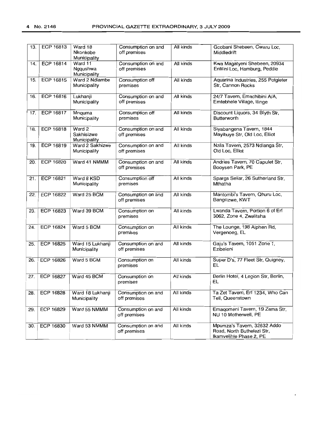| 13. | <b>ECP 16813</b> | Ward 18<br>Nkonkobe<br>Municipality  | Consumption on and<br>off premises | All kinds | Gcobani Shebeen, Cwaru Loc,<br>Middledrift                                           |  |  |
|-----|------------------|--------------------------------------|------------------------------------|-----------|--------------------------------------------------------------------------------------|--|--|
| 14. | <b>ECP 16814</b> | Ward 11<br>Ngqushwa<br>Municipality  | Consumption on and<br>off premises | All kinds | Kwa Magatyeni Shebeen, 20934<br>Entilini Loc, Hamburg, Peddie                        |  |  |
| 15. | ECP 16815        | Ward 2 Ndlambe<br>Municipality       | Consumption off<br>premises        | All kinds | Aquarina Industries, 255 Potgieter<br>Str, Cannon Rocks                              |  |  |
| 16. | ECP 16816        | Lukhanji<br>Municipality             | Consumption on and<br>off premises | All kinds | 24/7 Tavern, Emachibini A/A,<br>Emtebhele Village, Ilinge                            |  |  |
| 17. | <b>ECP 16817</b> | Mnquma<br>Municipality               | Consumption off<br>premises        | All kinds | Discount Liquors, 34 Blyth Str,<br><b>Butterworth</b>                                |  |  |
| 18. | ECP 16818        | Ward 2<br>Sakhisizwe<br>Municipality | Consumption on and<br>off premises | All kinds | Siyabangena Tavern, 1844<br>Mayibuye Str, Old Loc, Elliot                            |  |  |
| 19. | ECP 16819        | Ward 2 Sakhizwe<br>Municipality      | Consumption on and<br>off premises | All kinds | Nzila Tavern, 2573 Ndlanga Str,<br>Old Loc, Elliot                                   |  |  |
| 20. | <b>ECP 16820</b> | Ward 41 NMMM                         | Consumption on and<br>off premises | All kinds | Andries Tavern, 70 Capulet Str,<br>Booysen Park, PE                                  |  |  |
| 21. | ECP 16821        | Ward 8 KSD<br>Municipality           | Consumption off<br>premises        | All kinds | Spargs Sellar, 26 Sutherland Str,<br>Mthatha                                         |  |  |
| 22. | <b>ECP 16822</b> | Ward 25 BCM                          | Consumption on and<br>off premises | All kinds | Mantombi's Tavern, Qhuru Loc,<br>Bangilizwe, KWT                                     |  |  |
| 23. | <b>ECP 16823</b> | Ward 39 BCM                          | Consumption on<br>premises         | All kinds | Lwanda Tavern, Portion 6 of Erf<br>3062, Zone 4, Zwelitsha                           |  |  |
| 24. | <b>ECP 16824</b> | Ward 5 BCM                           | Consumption on<br>premises         | All kinds | The Lounge, 198 Alphen Rd,<br>Vergenoeg, EL                                          |  |  |
| 25. | ECP 16825        | Ward 15 Lukhanji<br>Municipality     | Consumption on and<br>off premises | All kinds | Gaju's Tavern, 1051 Zone 1,<br>Ezibeleni                                             |  |  |
| 26. | <b>ECP 16826</b> | Ward 5 BCM                           | Consumption on<br>premises         | All kinds | Super D's, 77 Fleet Str, Quigney,<br>EL                                              |  |  |
| 27. | <b>ECP 16827</b> | Ward 45 BCM                          | Consumption on<br>premises         | All kinds | Berlin Hotel, 4 Legion Str, Berlin,<br>EL                                            |  |  |
| 28. | ECP 16828        | Ward 18 Lukhanji<br>Municipality     | Consumption on and<br>off premises | All kinds | Ta Zet Tavern, Erf 1234, Who Can<br>Tell, Queenstown                                 |  |  |
| 29. | ECP 16829        | Ward 55 NMMM                         | Consumption on and<br>off premises | All kinds | Emagomeni Tavern, 19 Zama Str,<br>NU 10 Motherwell, PE                               |  |  |
| 30. | ECP 16830        | Ward 53 NMMM                         | Consumption on and<br>off premises | All kinds | Mpumza's Tavern, 32632 Addo<br>Road, North Buthelezi Str,<br>Ikamvelihle Phase 2, PE |  |  |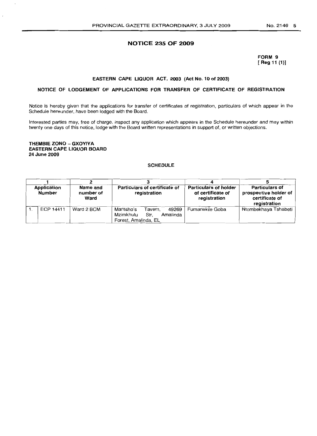#### **NOTICE 235 OF 2009**

**FORM 9 [ Reg 11 (1)]**

#### **EASTERN CAPE LIQUOR ACT, 2003 (Act No. 10 of 2003)**

#### **NOTICE OF LODGEMENT OF APPLICATIONS FOR TRANSFER OF CERTIFICATE OF REGISTRATION**

Notice is hereby given that the applications for transfer of certificates of registration, particulars of which appear in the Schedule hereunder, have been lodged with the Board.

Interested parties may, free of charge, inspect any application which appears in the Schedule hereunder and may within twenty one days of this notice, lodge with the Board written representations in support of, or written objections.

#### **THEMBIE ZONO - GXOYIYA EASTERN CAPE, LIQUOR BOARD 24 June 2009**

#### **SCHEDULE**

| <b>Application</b><br>Number |           | Name and<br>number of<br>Ward | Particulars of certificate of<br>registration                                          | <b>Particulars of holder</b><br>of certificate of<br>registration | <b>Particulars of</b><br>prospective holder of<br>certificate of<br>registration |  |  |
|------------------------------|-----------|-------------------------------|----------------------------------------------------------------------------------------|-------------------------------------------------------------------|----------------------------------------------------------------------------------|--|--|
|                              | ECP 14411 | Ward 2 BCM                    | Mantsho's<br>49269<br>Tavern.<br>Mzimkhulu<br>Str.<br>Amalinda<br>Forest, Amalinda, EL | Fumanekile Goba                                                   | Ntombekhaya Tshabeti                                                             |  |  |